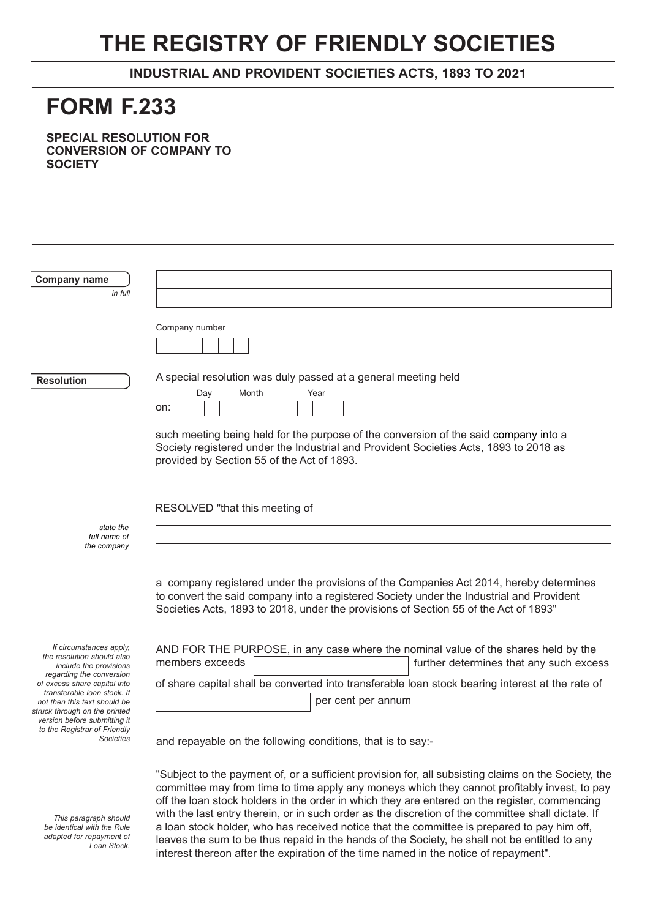## **THE REGISTRY OF FRIENDLY SOCIETIES**

**INDUSTRIAL AND PROVIDENT SOCIETIES ACTS, 1893 TO 20**21

## **FORM F.233**

**SPECIAL RESOLUTION FOR CONVERSION OF COMPANY TO SOCIETY**

| Company name                                                                                                                                                                                               |                                                                                                                                                                                               |  |  |
|------------------------------------------------------------------------------------------------------------------------------------------------------------------------------------------------------------|-----------------------------------------------------------------------------------------------------------------------------------------------------------------------------------------------|--|--|
| in full                                                                                                                                                                                                    |                                                                                                                                                                                               |  |  |
|                                                                                                                                                                                                            |                                                                                                                                                                                               |  |  |
|                                                                                                                                                                                                            | Company number                                                                                                                                                                                |  |  |
|                                                                                                                                                                                                            |                                                                                                                                                                                               |  |  |
| <b>Resolution</b>                                                                                                                                                                                          | A special resolution was duly passed at a general meeting held                                                                                                                                |  |  |
|                                                                                                                                                                                                            | Day<br>Month<br>Year                                                                                                                                                                          |  |  |
|                                                                                                                                                                                                            | on:                                                                                                                                                                                           |  |  |
|                                                                                                                                                                                                            | such meeting being held for the purpose of the conversion of the said company into a                                                                                                          |  |  |
|                                                                                                                                                                                                            | Society registered under the Industrial and Provident Societies Acts, 1893 to 2018 as<br>provided by Section 55 of the Act of 1893.                                                           |  |  |
|                                                                                                                                                                                                            |                                                                                                                                                                                               |  |  |
|                                                                                                                                                                                                            |                                                                                                                                                                                               |  |  |
|                                                                                                                                                                                                            | RESOLVED "that this meeting of                                                                                                                                                                |  |  |
| state the<br>full name of                                                                                                                                                                                  |                                                                                                                                                                                               |  |  |
| the company                                                                                                                                                                                                |                                                                                                                                                                                               |  |  |
|                                                                                                                                                                                                            |                                                                                                                                                                                               |  |  |
|                                                                                                                                                                                                            | a company registered under the provisions of the Companies Act 2014, hereby determines                                                                                                        |  |  |
|                                                                                                                                                                                                            | to convert the said company into a registered Society under the Industrial and Provident<br>Societies Acts, 1893 to 2018, under the provisions of Section 55 of the Act of 1893"              |  |  |
|                                                                                                                                                                                                            |                                                                                                                                                                                               |  |  |
| If circumstances apply,<br>the resolution should also<br>include the provisions<br>regarding the conversion<br>of excess share capital into<br>transferable loan stock. If<br>not then this text should be | AND FOR THE PURPOSE, in any case where the nominal value of the shares held by the                                                                                                            |  |  |
|                                                                                                                                                                                                            | members exceeds<br>further determines that any such excess                                                                                                                                    |  |  |
|                                                                                                                                                                                                            | of share capital shall be converted into transferable loan stock bearing interest at the rate of                                                                                              |  |  |
|                                                                                                                                                                                                            | per cent per annum                                                                                                                                                                            |  |  |
| struck through on the printed<br>version before submitting it                                                                                                                                              |                                                                                                                                                                                               |  |  |
| to the Registrar of Friendly<br><b>Societies</b>                                                                                                                                                           | and repayable on the following conditions, that is to say:-                                                                                                                                   |  |  |
|                                                                                                                                                                                                            |                                                                                                                                                                                               |  |  |
|                                                                                                                                                                                                            | "Subject to the payment of, or a sufficient provision for, all subsisting claims on the Society, the                                                                                          |  |  |
|                                                                                                                                                                                                            | committee may from time to time apply any moneys which they cannot profitably invest, to pay<br>off the loan stock holders in the order in which they are entered on the register, commencing |  |  |
| This naragraph should                                                                                                                                                                                      | with the last entry therein, or in such order as the discretion of the committee shall dictate. If                                                                                            |  |  |

a loan stock holder, who has received notice that the committee is prepared to pay him off, leaves the sum to be thus repaid in the hands of the Society, he shall not be entitled to any

interest thereon after the expiration of the time named in the notice of repayment".

*This paragraph should be identical with the Rule adapted for repayment of Loan Stock.*